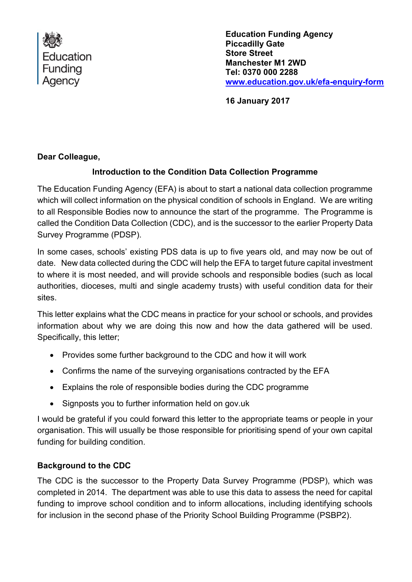

**Education Funding Agency Piccadilly Gate Store Street Manchester M1 2WD Tel: 0370 000 2288 [www.education.gov.uk/efa-enquiry-form](http://www.education.gov.uk/efa-enquiry-form)**

**16 January 2017**

## **Dear Colleague,**

## **Introduction to the Condition Data Collection Programme**

The Education Funding Agency (EFA) is about to start a national data collection programme which will collect information on the physical condition of schools in England. We are writing to all Responsible Bodies now to announce the start of the programme. The Programme is called the Condition Data Collection (CDC), and is the successor to the earlier Property Data Survey Programme (PDSP).

In some cases, schools' existing PDS data is up to five years old, and may now be out of date. New data collected during the CDC will help the EFA to target future capital investment to where it is most needed, and will provide schools and responsible bodies (such as local authorities, dioceses, multi and single academy trusts) with useful condition data for their sites.

This letter explains what the CDC means in practice for your school or schools, and provides information about why we are doing this now and how the data gathered will be used. Specifically, this letter;

- Provides some further background to the CDC and how it will work
- Confirms the name of the surveying organisations contracted by the EFA
- Explains the role of responsible bodies during the CDC programme
- Signposts you to further information held on gov.uk

I would be grateful if you could forward this letter to the appropriate teams or people in your organisation. This will usually be those responsible for prioritising spend of your own capital funding for building condition.

#### **Background to the CDC**

The CDC is the successor to the Property Data Survey Programme (PDSP), which was completed in 2014. The department was able to use this data to assess the need for capital funding to improve school condition and to inform allocations, including identifying schools for inclusion in the second phase of the Priority School Building Programme (PSBP2).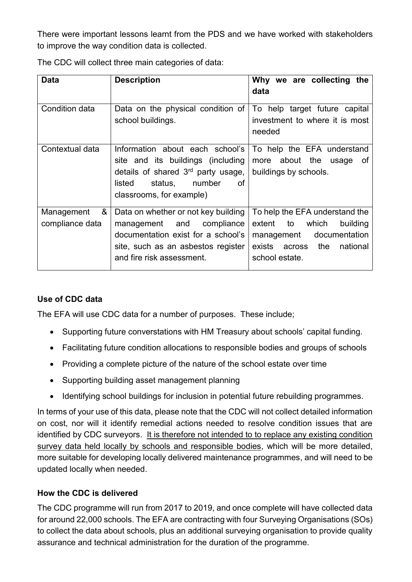There were important lessons learnt from the PDS and we have worked with stakeholders to improve the way condition data is collected.

| <b>Data</b>                        | <b>Description</b>                                                                                                                                                                   | Why we are collecting the<br>data                                                                                                            |
|------------------------------------|--------------------------------------------------------------------------------------------------------------------------------------------------------------------------------------|----------------------------------------------------------------------------------------------------------------------------------------------|
| Condition data                     | Data on the physical condition of<br>school buildings.                                                                                                                               | To help target future capital<br>investment to where it is most<br>needed                                                                    |
| Contextual data                    | Information about each school's<br>site and its buildings (including<br>details of shared 3 <sup>rd</sup> party usage,<br>status, number<br>listed<br>0f<br>classrooms, for example) | To help the EFA understand<br>more about the usage<br>of<br>buildings by schools.                                                            |
| &<br>Management<br>compliance data | Data on whether or not key building<br>management and compliance<br>documentation exist for a school's<br>site, such as an asbestos register<br>and fire risk assessment.            | To help the EFA understand the<br>extent to which<br>building<br>management documentation<br>exists across the<br>national<br>school estate. |

The CDC will collect three main categories of data:

## **Use of CDC data**

The EFA will use CDC data for a number of purposes. These include;

- Supporting future converstations with HM Treasury about schools' capital funding.
- Facilitating future condition allocations to responsible bodies and groups of schools
- Providing a complete picture of the nature of the school estate over time
- Supporting building asset management planning
- Identifying school buildings for inclusion in potential future rebuilding programmes.

In terms of your use of this data, please note that the CDC will not collect detailed information on cost, nor will it identify remedial actions needed to resolve condition issues that are identified by CDC surveyors. It is therefore not intended to to replace any existing condition survey data held locally by schools and responsible bodies, which will be more detailed, more suitable for developing locally delivered maintenance programmes, and will need to be updated locally when needed.

#### **How the CDC is delivered**

The CDC programme will run from 2017 to 2019, and once complete will have collected data for around 22,000 schools. The EFA are contracting with four Surveying Organisations (SOs) to collect the data about schools, plus an additional surveying organisation to provide quality assurance and technical administration for the duration of the programme.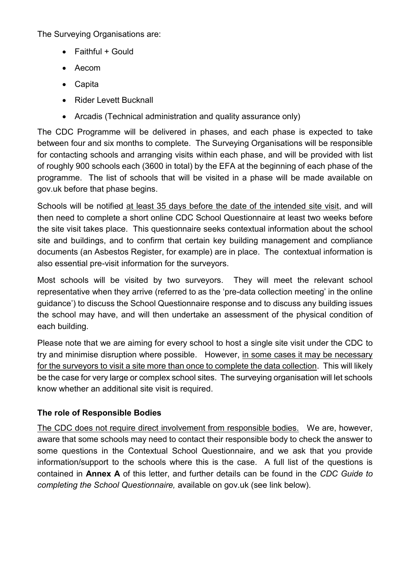The Surveying Organisations are:

- Faithful + Gould
- Aecom
- Capita
- Rider Levett Bucknall
- Arcadis (Technical administration and quality assurance only)

The CDC Programme will be delivered in phases, and each phase is expected to take between four and six months to complete. The Surveying Organisations will be responsible for contacting schools and arranging visits within each phase, and will be provided with list of roughly 900 schools each (3600 in total) by the EFA at the beginning of each phase of the programme. The list of schools that will be visited in a phase will be made available on gov.uk before that phase begins.

Schools will be notified at least 35 days before the date of the intended site visit, and will then need to complete a short online CDC School Questionnaire at least two weeks before the site visit takes place. This questionnaire seeks contextual information about the school site and buildings, and to confirm that certain key building management and compliance documents (an Asbestos Register, for example) are in place. The contextual information is also essential pre-visit information for the surveyors.

Most schools will be visited by two surveyors. They will meet the relevant school representative when they arrive (referred to as the 'pre-data collection meeting' in the online guidance') to discuss the School Questionnaire response and to discuss any building issues the school may have, and will then undertake an assessment of the physical condition of each building.

Please note that we are aiming for every school to host a single site visit under the CDC to try and minimise disruption where possible. However, in some cases it may be necessary for the surveyors to visit a site more than once to complete the data collection. This will likely be the case for very large or complex school sites. The surveying organisation will let schools know whether an additional site visit is required.

#### **The role of Responsible Bodies**

The CDC does not require direct involvement from responsible bodies. We are, however, aware that some schools may need to contact their responsible body to check the answer to some questions in the Contextual School Questionnaire, and we ask that you provide information/support to the schools where this is the case. A full list of the questions is contained in **Annex A** of this letter, and further details can be found in the *CDC Guide to completing the School Questionnaire,* available on gov.uk (see link below).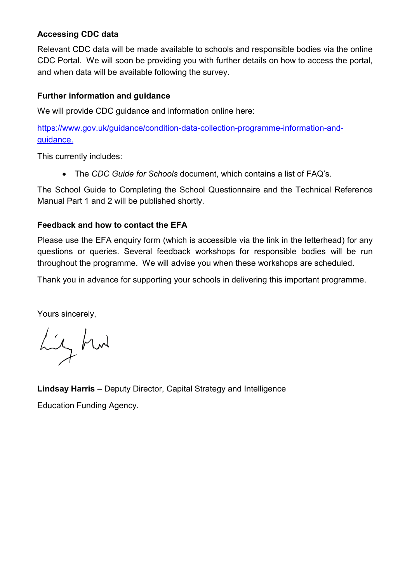## **Accessing CDC data**

Relevant CDC data will be made available to schools and responsible bodies via the online CDC Portal. We will soon be providing you with further details on how to access the portal, and when data will be available following the survey.

#### **Further information and guidance**

We will provide CDC guidance and information online here:

[https://www.gov.uk/guidance/condition-data-collection-programme-information-and](https://www.gov.uk/guidance/condition-data-collection-programme-information-and-guidance)[guidance.](https://www.gov.uk/guidance/condition-data-collection-programme-information-and-guidance)

This currently includes:

The *CDC Guide for Schools* document, which contains a list of FAQ's.

The School Guide to Completing the School Questionnaire and the Technical Reference Manual Part 1 and 2 will be published shortly.

#### **Feedback and how to contact the EFA**

Please use the EFA enquiry form (which is accessible via the link in the letterhead) for any questions or queries. Several feedback workshops for responsible bodies will be run throughout the programme. We will advise you when these workshops are scheduled.

Thank you in advance for supporting your schools in delivering this important programme.

Yours sincerely,

Liz hut

**Lindsay Harris** – Deputy Director, Capital Strategy and Intelligence

Education Funding Agency.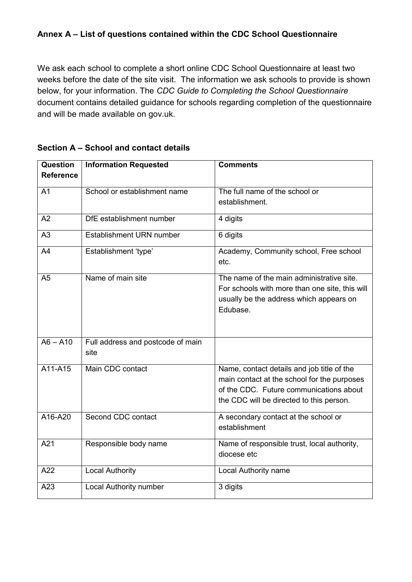## **Annex A – List of questions contained within the CDC School Questionnaire**

We ask each school to complete a short online CDC School Questionnaire at least two weeks before the date of the site visit. The information we ask schools to provide is shown below, for your information. The *CDC Guide to Completing the School Questionnaire*  document contains detailed guidance for schools regarding completion of the questionnaire and will be made available on gov.uk.

| <b>Question</b><br><b>Reference</b> | <b>Information Requested</b>              | <b>Comments</b>                                                                                                                                                                  |
|-------------------------------------|-------------------------------------------|----------------------------------------------------------------------------------------------------------------------------------------------------------------------------------|
| A <sub>1</sub>                      | School or establishment name              | The full name of the school or<br>establishment.                                                                                                                                 |
| A2                                  | DfE establishment number                  | 4 digits                                                                                                                                                                         |
| A <sub>3</sub>                      | Establishment URN number                  | 6 digits                                                                                                                                                                         |
| A4                                  | Establishment 'type'                      | Academy, Community school, Free school<br>etc.                                                                                                                                   |
| A <sub>5</sub>                      | Name of main site                         | The name of the main administrative site.<br>For schools with more than one site, this will<br>usually be the address which appears on<br>Edubase.                               |
| $\overline{AB - A10}$               | Full address and postcode of main<br>site |                                                                                                                                                                                  |
| A11-A15                             | Main CDC contact                          | Name, contact details and job title of the<br>main contact at the school for the purposes<br>of the CDC. Future communications about<br>the CDC will be directed to this person. |
| A16-A20                             | Second CDC contact                        | A secondary contact at the school or<br>establishment                                                                                                                            |
| A21                                 | Responsible body name                     | Name of responsible trust, local authority,<br>diocese etc                                                                                                                       |
| A22                                 | <b>Local Authority</b>                    | Local Authority name                                                                                                                                                             |
| A23                                 | Local Authority number                    | 3 digits                                                                                                                                                                         |

#### **Section A – School and contact details**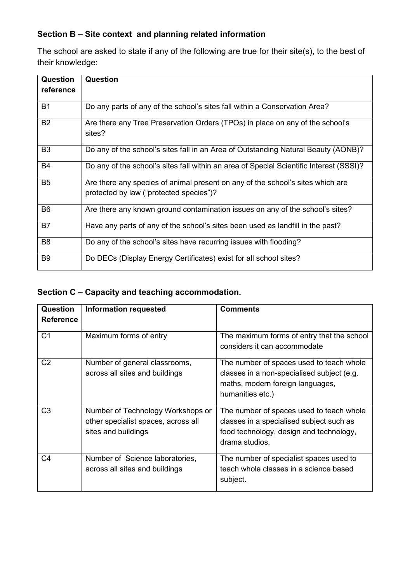## **Section B – Site context and planning related information**

The school are asked to state if any of the following are true for their site(s), to the best of their knowledge:

| <b>Question</b><br>reference | Question                                                                                                                  |
|------------------------------|---------------------------------------------------------------------------------------------------------------------------|
| <b>B1</b>                    | Do any parts of any of the school's sites fall within a Conservation Area?                                                |
| <b>B2</b>                    | Are there any Tree Preservation Orders (TPOs) in place on any of the school's<br>sites?                                   |
| B <sub>3</sub>               | Do any of the school's sites fall in an Area of Outstanding Natural Beauty (AONB)?                                        |
| <b>B4</b>                    | Do any of the school's sites fall within an area of Special Scientific Interest (SSSI)?                                   |
| B <sub>5</sub>               | Are there any species of animal present on any of the school's sites which are<br>protected by law ("protected species")? |
| B <sub>6</sub>               | Are there any known ground contamination issues on any of the school's sites?                                             |
| <b>B7</b>                    | Have any parts of any of the school's sites been used as landfill in the past?                                            |
| B <sub>8</sub>               | Do any of the school's sites have recurring issues with flooding?                                                         |
| B <sub>9</sub>               | Do DECs (Display Energy Certificates) exist for all school sites?                                                         |

## **Section C – Capacity and teaching accommodation.**

| <b>Question</b>  | <b>Information requested</b>                                                                    | <b>Comments</b>                                                                                                                                   |
|------------------|-------------------------------------------------------------------------------------------------|---------------------------------------------------------------------------------------------------------------------------------------------------|
| <b>Reference</b> |                                                                                                 |                                                                                                                                                   |
| C <sub>1</sub>   | Maximum forms of entry                                                                          | The maximum forms of entry that the school<br>considers it can accommodate                                                                        |
| C <sub>2</sub>   | Number of general classrooms,<br>across all sites and buildings                                 | The number of spaces used to teach whole<br>classes in a non-specialised subject (e.g.<br>maths, modern foreign languages,<br>humanities etc.)    |
| C <sub>3</sub>   | Number of Technology Workshops or<br>other specialist spaces, across all<br>sites and buildings | The number of spaces used to teach whole<br>classes in a specialised subject such as<br>food technology, design and technology,<br>drama studios. |
| C4               | Number of Science laboratories,<br>across all sites and buildings                               | The number of specialist spaces used to<br>teach whole classes in a science based<br>subject.                                                     |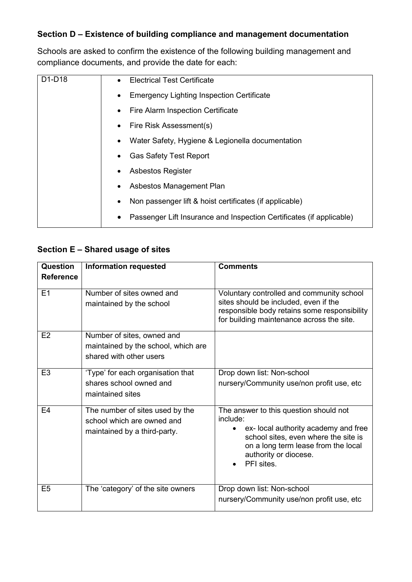#### **Section D – Existence of building compliance and management documentation**

Schools are asked to confirm the existence of the following building management and compliance documents, and provide the date for each:

| D1-D18 | <b>Electrical Test Certificate</b><br>$\bullet$                      |
|--------|----------------------------------------------------------------------|
|        | <b>Emergency Lighting Inspection Certificate</b><br>٠                |
|        | Fire Alarm Inspection Certificate<br>٠                               |
|        | Fire Risk Assessment(s)<br>٠                                         |
|        | Water Safety, Hygiene & Legionella documentation<br>$\bullet$        |
|        | <b>Gas Safety Test Report</b><br>$\bullet$                           |
|        | <b>Asbestos Register</b><br>٠                                        |
|        | Asbestos Management Plan<br>$\bullet$                                |
|        | Non passenger lift & hoist certificates (if applicable)              |
|        | Passenger Lift Insurance and Inspection Certificates (if applicable) |

# **Section E – Shared usage of sites**

| Question         | <b>Information requested</b>                                                                  | <b>Comments</b>                                                                                                                                                                                                  |
|------------------|-----------------------------------------------------------------------------------------------|------------------------------------------------------------------------------------------------------------------------------------------------------------------------------------------------------------------|
| <b>Reference</b> |                                                                                               |                                                                                                                                                                                                                  |
| E <sub>1</sub>   | Number of sites owned and<br>maintained by the school                                         | Voluntary controlled and community school<br>sites should be included, even if the<br>responsible body retains some responsibility<br>for building maintenance across the site.                                  |
| E2               | Number of sites, owned and<br>maintained by the school, which are<br>shared with other users  |                                                                                                                                                                                                                  |
| E3               | 'Type' for each organisation that<br>shares school owned and<br>maintained sites              | Drop down list: Non-school<br>nursery/Community use/non profit use, etc                                                                                                                                          |
| E4               | The number of sites used by the<br>school which are owned and<br>maintained by a third-party. | The answer to this question should not<br>include:<br>ex- local authority academy and free<br>school sites, even where the site is<br>on a long term lease from the local<br>authority or diocese.<br>PFI sites. |
| E5               | The 'category' of the site owners                                                             | Drop down list: Non-school<br>nursery/Community use/non profit use, etc                                                                                                                                          |